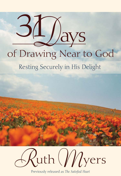# $31/2$ of Drawing Near to God Resting Securely in His Delight



Previously released as The Satisfied Heart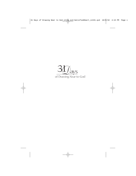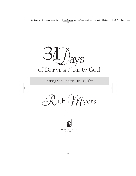

Resting Securely in His Delight

*R*uth*M*yers

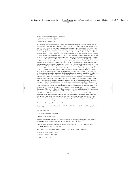THIRTY-ONE DAYS OF DRAWING NEAR TO GOD PUBLISHED BY MULTNOMAH BOOKS 12265 Oracle Boulevard, Suite 200 Colorado Springs, Colorado 80921

All Scripture quotations, unless otherwise indicated, are taken from the Scripture quotations marked (AMP) are taken from The Amplified® Bible. Copyright © 1954, 1958, 1962, 1964, 1965, 1987 by The Lockman Foundation. Used by permission. Scripture quotations marked (NASB) are taken from New American Standard Bible®. © Copyright The Lockman Foundation 1960, 1962, 1963, 1968, 1971, 1973, 1975, 1977, 1995. Used by permission. (www.Lockman.org). Scripture quotations marked (Laubach) are taken from *The Inspired Letters in Clearest English* by Frank C. Laubach. Copyright © 1956 by Thomas Nelson Inc. Scripture quotations marked (Berkeley) are taken from The Modern Language Bible: The Berkeley Version in Modern English, Revised Edition, copyright © 1945, 1959, 1969 by Hendrickson Publishers Inc. Used by permission. Scripture quotations marked (Moffatt) are taken from The Bible: James Moffatt Translation by James A. R. Moffatt. Copyright © 1954 by James A. R. Moffatt. Harper Collins Inc. and Hodder and Stoughton Ltd. Scripture quotations marked (NCV) are taken from the New Century Version®. Copyright © 1987, 1988, 1991 by Thomas Nelson Inc. Used by permission. All rights reserved. Scripture quotations marked (NEB) are taken from The New English Bible, copyright 1961, 1970, the Delegates of the Oxford University Press and the Syndics of the Cambridge University Press. Scripture quotations marked (NIV) are taken from the Holy Bible, New International Version®. NIV®. Copyright © 1973, 1978, 1984 by International Bible Society. Used by permission of Zondervan Publishing House. All rights reserved. Scripture quotations marked (NKJV) are taken from the New King James Version®. Copyright © 1982 by Thomas Nelson Inc. Used by permission. All rights reserved. Scripture quotations marked (NLT) are taken from the Holy Bible, New Living Translation, copyright © 1996. Used by permission of Tyndale House Publishers Inc., Wheaton, Illinois 60189. All rights reserved. Scripture quotations marked (Phillips) are taken from The New Testament in Modern English, Revised Edition © 1972 by J. B. Phillips. Copyright renewed © 1986, 1988 by Vera M. Phillips. Scripture quotations marked (RSV) are taken from the Revised Standard Version of the Bible, copyright © 1952, 1971 by the Division of Christian Education of the National Council of the Churches of Christ in the USA. Used by permission. All rights reserved. Scripture quotations marked (TLB) are taken from The Living Bible, copyright © 1971. Used by permission of Tyndale House Publishers Inc., Wheaton, Illinois 60189. All rights reserved. Scripture quotations marked (Williams) are taken from The New Testament: A Translation in the Language of the People by Charles B. Williams, copyright © 1937 Moody Bible Institute. Used by permission. Scripture quotations marked (RSV) © 1946, 1952 by the Division of Christian Education of the National Council of the Churches of Christ in the United States of America. Scripture quotations marked (KJV) are taken from the King James Version. Scripture quotations marked (TEV) are taken from Good News Bible: Today's English Version, copyright 1976, American Bible Society. Scripture quotations marked (Wuest) are taken from The New Testament: An Expanded Translation, Kenneth S. Wuest, copyright 1961, Wm. B. Eerdmans Publishing Company. Used by permission. All rights reserved.

All italics in Scripture quotations are the author's.

Chapter epigraphs in Part II are from the hymns "We Rest on Thee" by Edith G. Cherry and "A Mighty Fortress Is Our God" by Martin Luther.

ISBN 978-0-307-72944-6

ISBN 978-0-307-50890-4 (electronic)

Copyright © 1999 by Ruth Myers

Previously published under the title *The Satisfied Heart: Thirty-One Days of Experiencing God's Love.* This book's content has been adapted from *The Perfect Love*, copyright © 1998 by Ruth Myers.

Published in the United States by WaterBrook Multnomah, an imprint of the Crown Publishing Group, a division of Random House Inc., New York.

MULTNOMAH and its mountain colophon are registered trademarks of Random House Inc.

Printed in the United States of America 2011—First Trade Paperback Edition

10 9 8 7 6 5 4 3 2 1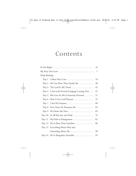# Contents

|                                                                                                      |                                         | vii |
|------------------------------------------------------------------------------------------------------|-----------------------------------------|-----|
| $My Story: First Love \dots \dots \dots \dots \dots \dots \dots \dots \dots \dots \dots \dots \dots$ |                                         |     |
| Daily Readings:                                                                                      |                                         |     |
| Day 1                                                                                                | I Must Have Love                        | 33  |
| Day 2                                                                                                | He Can More Than Satisfy Me             | 38  |
| Day 3                                                                                                | The Lord Is All I Need                  | 43  |
| Day 4                                                                                                | I Am God's Eternal Longings Coming True | 47  |
| Day 5                                                                                                | His Love for Me Is Intensely Personal   | 51  |
| Day 6                                                                                                | How I Give God Pleasure                 | 55  |
| Day 7                                                                                                | I Am His Treasure                       | 60  |
| Day 8                                                                                                | Even Now, He Treasures Me               | 65  |
| Day 9                                                                                                | He Draws Me Near                        | 69  |
| Day 10                                                                                               | In All My Joys and Trials               | 76  |
| Day 11                                                                                               | My Path to Enlargement                  | 81  |
| Day 12                                                                                               | He Is More Than Sunshine                | 86  |
| Day 13                                                                                               | Everything About Him Says               |     |
|                                                                                                      | Something About Me                      | 90  |
| Day 14                                                                                               | He Is Altogether Desirable              | 95  |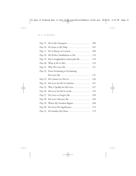| Day 15   | He Is My Champion                                                   | 100 |
|----------|---------------------------------------------------------------------|-----|
| Day 16   | He Soars to My Help $\dots\dots\dots\dots\dots\dots\dots\dots\dots$ | 105 |
| Day 17   | He Is Always in Control                                             | 109 |
| Day 18   | His Perfect Faithfulness to Me                                      | 114 |
| Day 19   | His Lovingkindness Surrounds Me                                     | 118 |
| Day 20   |                                                                     | 123 |
| Day 21   | Why He Loves Me                                                     | 127 |
| Day 22   | From Everlasting to Everlasting,                                    |     |
|          |                                                                     | 131 |
| Day 23   | He Cannot Let Me Go                                                 | 136 |
| Day 24   | His Love for Me Is Limitless                                        | 141 |
| Day 25   | Why I Qualify for His Love                                          | 147 |
| Day 26   | His Love for Me Is Lavish                                           | 153 |
| Day 27   | He Loves to Forgive Me                                              | 158 |
| Day 28   | His Love Liberates Me                                               | 164 |
| Day 29   | Where My Freedom Begins                                             | 168 |
| Day $30$ | He Gives Me Significance                                            | 173 |
| Day 31   | He Satisfies My Heart                                               | 179 |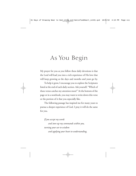# As You Begin

My prayer for you as you follow these daily devotions is that the Lord will lead you into a rich experience of His love that will keep growing as the days and months and years go by.

To help it grow, I encourage you to explore the Scriptures listed at the end of each daily section. Ask yourself, "Which of these verses catches my attention most?" At the bottom of the page or in a notebook, you may want to write down this verse or the portion of it that you especially like.

The following passage has inspired me for many years to pursue a deeper experience of God. I pray it will do the same for you.

*If you accept my words*

*and store up my commands within you, turning your ear to wisdom and applying your heart to understanding,*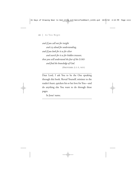viii | As You Begin

*and if you call out for insight and cry aloud for understanding, and if you look for it as for silver and search for it as for hidden treasure, then you will understand the fear of the LORD and find the knowledge of God.* (PROVERBS 2:1-5, NIV)

Dear Lord, I ask You to be the One speaking through this book. Reveal Yourself, minister to the reader's heart, quicken his or her love for You—and do anything else You want to do through these pages.

In Jesus' name.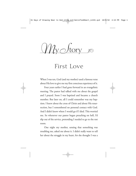$\mathcal{M}_{\text{V}}$  *S*tory

First Love

When I was ten, God (and my mother) used a famous verse about His love to give me my first conscious experience of it.

Four years earlier I had gone forward in an evangelistic meeting. The pastor had talked with me about the gospel and I prayed. Soon I was baptized and became a church member. But later on, all I could remember was my baptism. I knew about the cross of Christ and about His resurrection, but I remembered no personal contact with God. And I didn't know where I would go if I died. This worried me. So whenever our pastor began preaching on hell, I'd slip out of the service, pretending I needed to go to the rest room.

One night my mother, sensing that something was troubling me, asked me about it. I didn't really want to tell her about the struggle in my heart, for she thought I was a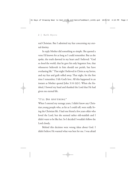real Christian. But I admitted my fear concerning my eternal destiny.

In reply Mother did something so simple. She quoted a verse I'd known for as long as I could remember. But as she spoke, the truth dawned in my heart and I believed: "God so *loved* the world, that he gave his only begotten Son, that whosoever believeth in him should not perish, but have everlasting life." That night I believed in Christ as *my* Savior, and my fear and guilt rolled away. That night, for the first time I remember, I felt God's love. All this happened in an instant as Mother quoted John 3:16 (KJV). When she finished, I bowed my head and thanked the Lord that He had given me eternal life.

## **"I' L L D O A NYTHING "**

When I entered my teenage years, I didn't know any Christian young people who, as far as I could tell, were really living the Christian life. I had one friend a few years older who loved the Lord, but she seemed rather old-maidish and I didn't want to be like her. So I decided I wouldn't follow the Lord closely.

Behind this decision were wrong ideas about God. I didn't believe He wanted what was best for me. I was afraid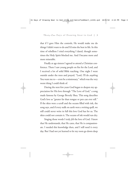that if I gave Him the controls, He would make me do things I didn't want to do and I'd miss the best in life. In this time of rebellion I tried everything I dared, though sometimes the Holy Spirit blocked me. And I became more and more miserable.

Finally at age sixteen I agreed to attend a Christian conference. There I saw young people on fire for the Lord, and I received a lot of solid Bible teaching. One night I went outside under the trees and prayed, "Lord, I'll do *anything* You want me to—even be a missionary," which was the very worst thing I could think of.

During the next few years God began to deepen my appreciation for His love through "The Love of God," a song made famous by George Beverly Shea. This song describes God's love as "greater far than tongue or pen can ever tell." If the skies were a scroll and the oceans filled with ink, the song says, and if every stalk on earth were a writing quill, we still could never write in full this love God has for us. The skies could not contain it. The oceans of ink would run dry.

Singing those words I truly *felt* the love of God. I knew that He understands, that He cares, that He is compassionate. I needed this knowledge then, and I still need it every day. But I had not yet learned to let my roots go down deep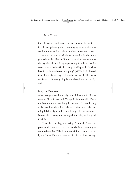into His love so that it was a constant influence in my life. I felt His love primarily when I was singing about it with others, but not when I was alone or when things went wrong.

As the Lord worked within me, my desires for the future gradually made a U-turn. I found I wanted to become a missionary after all, and I began preparing for this. A favorite verse became Psalm 84:11: "No good thing will He withhold from those who walk uprightly" (NKJV). As I followed God, I was discovering He knew better than I did how to satisfy me. Life was getting better, though not necessarily easier.

#### **MAJOR P URSUIT**

After I was graduated from high school, I set out for Northwestern Bible School and College in Minneapolis. There the Lord did more new things in my heart. I'd been having daily devotions since I was sixteen. Often it was the last thing I did at night, and I could hardly hold my eyes open. Nevertheless, I congratulated myself for being such a good Christian.

Then the Lord began speaking: "Ruth, that's not the point at all. I want you to come to My Word because you want to know Me." The lesson was reinforced for me by the hymn "Break Thou the Bread of Life" in the lines that say,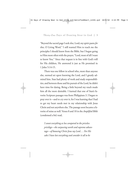"Beyond the sacred page I seek *thee,* Lord; my spirit pants *for thee,* O Living Word." I still wanted Him to teach me the principles I should know from the Bible, but I began going to Him more often with the prayer, "Lord, most of all I want to know You." Since that request is in line with God's will for His children, He answered it just as He promised in 1 John 5:14-15.

There was one fellow in school who, more than anyone else, seemed set upon knowing the Lord, and I greatly admired him. Stan had plenty of work and study responsibilities, and between those and his pursuit of the Lord, he didn't have time for dating. Being a little beyond my reach made him all the more desirable. I learned that one of Stan's favorite Scripture passages was from Philippians 3. I began to pray over it—and to cry over it, for I was learning that I had to get my heart needs met in my relationship with Jesus Christ and not anywhere else. The passage soon became a favorite of mine as well. Verses 8 and 10 in the *Amplified Bible* (condensed a bit) read,

*I count everything as loss compared to the priceless privilege—the surpassing worth and supreme advantage—of knowing Christ Jesus my Lord.… For His sake I have lost everything and consider it all to be*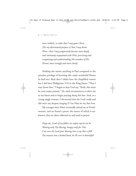#### 6 | Ruth Myers

*mere rubbish, in order that I may gain Christ.… [For my determined purpose is] that I may know Him—that I may progressively become more deeply and intimately acquainted with Him, perceiving and recognizing and understanding [the wonders of His Person] more strongly and more clearly.* 

Nothing else meant anything to Paul compared to the priceless privilege of knowing this vastly wonderful Person he had met. Back then I didn't have the Amplified version but I did have Philippians 3:10 in the King James: "That I may know him." I began to hear God say, "Ruth, this must be your major pursuit." He used circumstances to drive me to my knees and to begin praying along this line. And, as a young single woman, I discovered that the Lord could and did meet my deepest longing if I let Him be my first love.

My younger sister Mary eventually joined me at Northwestern, and we found a poem, the source of which is unknown, that we often reflected on and used in prayer:

*Purge me, Lord, of my follies; an empty cup let me be, Waiting only Thy blessing, hungry only for Thee. Can even the Lord pour blessing into a cup that is full? Put treasure into a locked hand, be He ever so bountiful?*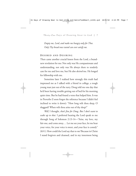*Empty me, Lord, and make me hungry only for Thee. Only Thy bread once tasted can ever satisfy me.*

#### **DESIRED AND DESIRING**

Then came another crucial lesson from the Lord, a brandnew revelation for me: Not only was He compassionate and understanding, not only was He always there to tenderly care for me and love me, but He also *desired* me. He longed for fellowship with me.

Sometime later I realized how strongly this truth had impressed me as I talked with a friend in college, a tough young man just out of the navy. Doug told me one day that he'd been having trouble getting out of bed for his morning quiet time. But he had found a verse that helped him. It was in Proverbs (I soon forgot the reference because I didn't feel inclined to write it down): "How long wilt thou sleep, O sluggard? When wilt thou arise out of thy sleep?"

*Well,* I thought, *that's fine for Doug. But I don't want to wake up to that.* I preferred hearing the Lord speak to me through Song of Solomon 2:13-14—"Arise, my love, my fair one, and come away.… Let me see your face, let me hear your voice, for your voice is sweet, and your face is comely" (RSV). How could the Lord say that to *me?* Because in Christ I stand forgiven and cleansed, and in my innermost being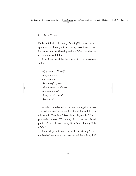I'm beautiful with His beauty. Amazing! To think that my appearance is pleasing to God, that my voice is sweet, that He desires intimate fellowship with me! What a motivation to spend time with Him.

Later I was struck by these words from an unknown author:

*My goal is God Himself; Not peace or joy Or even blessing, But Himself, my God. 'Tis His to lead me there— Not mine, but His. At any cost, dear Lord, By any road.*

Another truth dawned on my heart during that time a truth that revolutionized my life. I found this truth in capsule form in Colossians 3:4—"Christ…is your life." And I personalized it to say, "Christ is *my* life." As one man of God put it, "It's not only true that my life is *Christ's,* but my life is *Christ.*"

How delightful it was to learn that Christ my Savior, the Lord of love, triumphant over sin and death, is my life!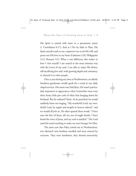His Spirit is united with mine in a permanent union (1 Corinthians 6:17). And as I live by faith in Him, His Spirit unveils truth to me, empowers me to do His will, and pours out His love in my heart (Galatians 2:20, Philippians 2:13, Romans 5:5). What a vast difference this makes in how I view myself: I am united in the most intimate way with the Lover of my soul. I am able to enjoy His divine, self-sacrificing love and, with growing depth and constancy, to channel it to other people.

Once a year during my time at Northwestern, an elderly Southern gentleman would speak for a week in our daily chapel services. His name was Dad Byus. He wasn't particularly impressive in appearance; what I remember most were three funny little pin curls of white hair hanging down his forehead. But he radiated Christ. As he preached, he would suddenly burst out singing, "My wonderful Lord, my wonderful Lord, by angels and seraphs in heaven adored," and we would all join in. He often quoted these words: "I have seen the face of Jesus; tell me not of ought beside. I have heard the voice of Jesus, and my soul is satisfied." The Lord used this man's teaching to make me more hungry for Him.

The same year that Mary joined me at Northwestern, two identical twin brothers enrolled and were noticed by everyone. They were handsome, they dressed attractively,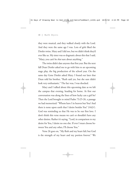they were musical, and they walked closely with the Lord. And they were the same age I was. Lots of girls liked the Denler twins. Mary and I did too, but we didn't think they'd ever like us. My sister was so dogmatic about this that I said, "Mary, you can't be *that* sure about anything."

The twins didn't date anyone that first year. But the next fall Dean Denler asked me to go with him to an upcoming stage play, the big production of the school year. On the same day Gene Denler asked Mary. I found out later that Dean told his brother, "Ruth said yes, but she sure didn't look very enthusiastic." The fact was, I was shocked.

Mary and I talked about this upcoming date as we left the campus that evening, heading for home. At first our conversation was along the lines of how lucky can a girl be? Then the Lord brought to mind Psalm 73:25-26, a passage we had memorized: "Whom have I in heaven but You? And there is none upon earth that I desire besides You" (NKJV). God was reminding us that He was to be our first love. I don't think this verse means we can't or shouldn't have any other desires. Rather it's saying, "Lord, in comparison to my desire for You, I desire no one else. If ever I must choose between You and any other, I'll choose You."

Verse 26 goes on, "My flesh and my heart fail; but God is the strength of my heart and my portion forever." We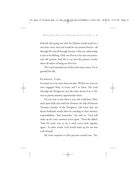both felt that going out with the Denlers would surely be a one-time event, but God would be our portion forever—all through life and all through eternity. Only one relationship is sure to be lifelong. Only one Person is for sure our permanent life partner. And He is our best life partner, worthy above all others of being our first love.

The Lord reminded me of this truth many times. I'm so grateful He did.

#### **P LOWING TIME**

It turned out to be more than one date. Within two years we were engaged: Mary to Gene, and I to Dean. The Lord (through the Navigators) sent the twins ahead of us to Taiwan to pursue ministry opportunities there.

On our way to join them a year and a half later, Mary and I spent half a day with Lila Trotman, the wife of Dawson Trotman, founder of the Navigators. Lila knew that our future husbands would often be traveling in their ministry responsibilities. "Just remember," she told us, "God will make up for every moment you're apart." Then she added, "And He won't wait to do it until you're back together again." In other words, God would make up for our loss *with Himself.* 

My inner response to Lila's gracious counsel was, "Yes,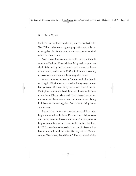Lord, You are well able to do this, and You will—if I let You." This realization was great preparation not only for marriage but also for the time, seven years later, when God would call Dean home.

Soon it was time to cross the Pacific on a comfortable American President Lines freighter. Mary and I were so excited. To be used by the Lord in Asia had become the dream of our hearts, and now in 1952 this dream was coming true—as were our dreams of becoming Mrs. Denler.

A week after we arrived in Taiwan we had a double wedding in Taipei, then we headed to Hong Kong for our honeymoons. Afterward Mary and Gene flew off to the Philippines to serve the Lord there, and I went with Dean to southern Taiwan. Mary and I had always been close, the twins had been even closer, and most of our dating had been as couples together. So we were facing some adjustments.

Lots of them, in fact. And we had received little prior help on how to handle them. Decades later, I helped conduct many two- to three-month orientation programs to help western missionaries prepare for life in Asia. But back in 1952, new missionaries received just one bit of counsel on how to respond to all the unfamiliar ways of the Chinese culture: "Not wrong, but different." This was sound advice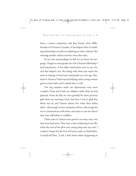from a veteran missionary and dear friend, Dick Hillis, founder of Overseas Crusades. It has helped often in building relationships as well as in adjusting to other cultures. But entering another culture involves more than that.

In our new surroundings we did not yet know the language. I began to miss greatly the rich Christian fellowship I had long known. A few older missionaries were in our city, and that helped a lot. But being with them just wasn't the same as relating to loved ones and people our own age. Also, back in America I had enjoyed helping other young women grow in their faith, and I missed that as well.

Two big surprises made our adjustments even more complex: Dean and I had our children earlier than we had planned. From the first we were grateful for those precious gifts from our sovereign God. And later I was so glad that Brian was six and Doreen almost five when their father died—old enough to have memories of him, old enough for me to communicate with them, and easier to care for than if they were still babies or toddlers.

Those years in Taiwan were good in so many ways, but they were hard years. They were a time of plowing in my life, when the steel of the plow was cutting deep into my soul. I could no longer feel the love of God as easily as I had before. I would tell Him, "Lord, I don't know what's happening to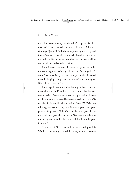me. I don't know why my emotions don't cooperate like they used to." Then I would remember Hebrews 13:8 where God says, "Jesus Christ is the same yesterday and today and forever" (NIV). So I would choose to believe that His love for me and His life in me had not changed, but were still as warm and true and certain as before.

How I missed my sister! I remember going out under the sky at night to decisively tell the Lord (and myself), "I don't *have* to see Mary. You are enough." Again He would meet the longings of my heart, but it wasn't with the easy joy I'd so often known earlier.

I also experienced the reality that my husband couldn't meet all my needs. Dean loved me very much, but his love wasn't perfect. Sometimes he was occupied with his own needs. Sometimes he would be away for weeks at a time. Often the Spirit would bring to mind Psalm 73:25-26, reminding me again: "Only one Person is your best, your perfect life partner. Only One can be with you all the time and meet your deepest needs. You may love others as much as you can, as deeply as you will, but I must be your first love."

The truth of God's love and the solid footing of His Word kept me steady. I found that many truths I'd known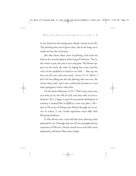in my head were becoming more deeply rooted in my life. The plowing time was of great value, and in the long run it made me love the Lord more.

But after about three years of plowing, God took me back to the second chapter of the Song of Solomon: "For lo, the winter is past, the rain is over and gone. The flowers appear on the earth; the time of singing has come, and the voice of the turtledove is heard in our land.… Rise up, my love, my fair one, and come away" (verses 12-13, NKJV). I felt God was telling me that the plowing time was over, the winter done with, and I now could look forward to a new fresh springtime of love with Him.

On the basis of Romans 15:32 ("That I may come unto you with joy by the will of God, and may with you be refreshed," KJV), I began to pray for increased refreshment in ministry. I trusted Him to fulfill in a new way John 7:38 that as His rivers of living water flowed through me in service to others, I, too, would experience more fully their life-giving freshness.

In His all-wise love, God still had more plowing times planned for me. Through each one He has strengthened my experience of His love. He has caused me to seek Him more desperately and know Him more deeply.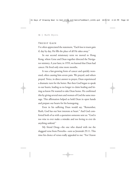#### **TRUEST G AIN**

I've often appreciated the statement, "Each loss is truest gain if, day by day, He fills the place of all He takes away."

In our second missionary term we moved to Hong Kong, where Gene and Dean together directed the Navigator ministry. A year later, in 1959, we learned that Dean had cancer. He lived only nine more months.

It was a fast-growing form of cancer and quickly worsened, often causing him severe pain. We prayed, and others prayed. Twice, in direct answer to prayer, Dean experienced a dramatic turn for the better. But then God began to speak to our hearts, leading us no longer to claim healing and letting us know He wanted to take Dean home. He confirmed this by giving several men and women of God the same message. This affirmation helped us hold Dean in open hands and prepare our hearts for his homegoing.

Even in his suffering Dean would say, "Remember, Ruth, God has our best interests at heart." And God comforted both of us with a quotation someone sent us: "God is too wise to ever make a mistake and too loving to ever do anything unkind."

My friend Doug—the one who shared with me the sluggard verse from Proverbs—sent us Jeremiah 29:11. This time his choice of verses really appealed to me: "For I know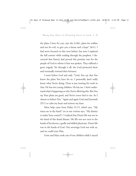the plans I have for you, says the LORD, plans for welfare and not for evil, to give you a future and a hope" (RSV). I had never focused on this verse before, but now I explored the full context while reading through the prophets. I discovered that history had proved this promise true for the people of God to whom it first was spoken. They suffered a great tragedy. Yet through it all, the Lord protected them and eventually restored their fortunes.

I went before God and said, "Lord, You say that You know the plans You have for us. I personally don't really know what You're doing. Dean is just starting his work in Asia. He has two young children. He has me. I don't understand what's happening or why You're allowing this. But You say Your plans are good, and You've never lied to me. So I choose to believe You." Again and again God used Jeremiah 29:11 to calm my heart and remove my fears.

More help came from Psalm 31:15, which says, "My times are in thy hand" (or as one version says, "My destiny is under Your control"). I realized that Dean's life was not in the hand of this dread disease. His life was not even in the hands of his doctor, a godly and skilled physician. Dean's life was in the hands of God. Our sovereign God was with us, and we could trust Him.

Gene and Mary took care of our children while I stayed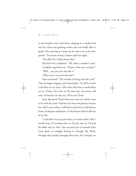in the hospital room with Dean, sleeping in a smaller bed near his. Dean was growing weaker and was hardly able to speak. One morning as I woke up, he said to me in his slow speech, "You know, honey, I almost died last night."

"You did? No, I didn't know that."

His frail voice continued, "Oh, what a wonder it was!" I tenderly urged him on. "Honey, what was a wonder?" "Well…you just can't describe it."

"What was it you can't describe?"

Dean answered, "The wonder of being with the Lord." Then he began singing, and I joined him: "It will be worth it all when we see Jesus. Life's trials will seem so small when we see Christ. One look at His dear face, all sorrow will erase. So bravely run the race, till we see Christ."

Soon afterward, Dean's brave race was over and he went to be with the Lord. I had lost my best and primary human love. But I wasn't alone. I still had my first love; I still had my Source of deepest satisfaction. So the bottom did not fall out of my life.

I cried often. In my quiet times, no matter what I did, I would weep. I'd worship and cry. I'd pray and cry. I'd read the Bible and cry. But I also received rays of warmth from God, shafts of sunlight shining in through His Word, through other people, through other ways. For example, on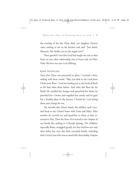the evening of the day Dean died, our daughter Doreen came rushing to me in the kitchen and said, "Just think, Mommy: My daddy can see the angels now!"

How grateful I was that God had taught me not to dare fixate on any other relationship, but to focus only on Him. Only His love was sure to be lifelong.

#### **G O D S UPPLIES**

Soon after Dean was promoted to glory I received a letter ending with these words: "May you find in the Lord Jesus Christ your Boaz." God was leading me to the book of Ruth as He had often done before. And what did Boaz do for Ruth? He satisfied her hunger and quenched her thirst; he provided her a home and supplied her needs; and he gave her a fruitful place in the harvest. I found the Lord doing these same things for me.

Six months after Dean's death, the children and I traveled back to the United States with Gene and Mary. After another six months we said good-bye to them as they returned to Asia. Then the three of us started a new chapter of our family life, settling in Colorado Springs. The children, especially Brian, struggled greatly, for they had lost not only their father but now also their extended family, including their Uncle Gene who was so much like their daddy. Despite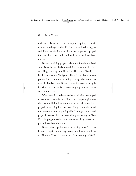their grief, Brian and Doreen adjusted quickly to their new surroundings, to school in America, and to life in general. How grateful I am for the many people who prayed for them back then and continued to do so throughout the years!

Besides providing prayer backers and friends, the Lord as my Boaz also supplied our needs for a home and clothing. And He gave me a part in His spiritual harvest at Glen Eyrie, headquarters of the Navigators. There I had abundant opportunities for ministry, including training other women to serve the Lord overseas. Besides counseling women and girls individually, I also spoke to women's groups and at conferences and retreats.

When we said good-bye to Gene and Mary, we hoped to join them later in Manila. But I had a deepening impression that the Philippines was not to be our field of service. I prayed about going back to Hong Kong, but again found no freedom of heart regarding this. Through counsel and prayer it seemed the Lord was telling me to stay at Glen Eyrie, helping train others who in turn would go into many places throughout the world.

But to think of perhaps never returning to Asia! Of perhaps never again ministering among the Chinese or Indians or Filipinos! Then I came across Deuteronomy 3:26-28.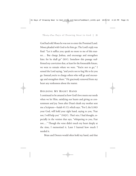God had told Moses he was not to enter the Promised Land. Moses pleaded with God to let him go. The Lord's reply was final: "Let it suffice you; speak no more to me of this matter.… But charge Joshua, and encourage and strengthen him: for he shall go" (RSV). Somehow this passage reaffirmed my conviction that, at least for the foreseeable future, we were to remain where we were. "You're not to go," I sensed the Lord saying, "and you're not to beg Me to let you go. Instead you're to charge others who will go and encourage and strengthen them." He graciously removed from my heart any restlessness about the matter.

## **H OLDING MY RIGHT H AND**

I continued to be amazed at how God's love meets our needs when we let Him, satisfying our hearts and giving us contentment and joy. Soon after Dean's death my mother sent me a Scripture—Isaiah 41:13, which says, "For I, the LORD your God, will hold your right hand, saying to you, 'Fear not, I will help you' " (NKJV). *That's nice,* I had thought, especially in the version that says, "whispering to you, Fear not.…" Though the verse didn't touch my heart deeply at the time, I memorized it. Later I learned how much I needed it.

Brian and Doreen would often hold my hand, and that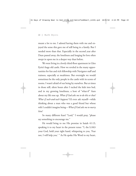#### 22 | Ruth Myers

meant a lot to me. I adored having them with me and enjoyed the sense this gave me of still being in a family. But I needed more than that. Especially in the second year after Dean passed away, the loneliness and longing for love often swept in upon me in a deeper way than before.

We were living in a lovely third-floor apartment in Glen Eyrie's huge old castle. How we reveled in the many opportunities for fun and rich fellowship with Navigator staff and trainees, especially at mealtimes. But overnight we would sometimes be the only people in the castle with its scores of rooms. I wasn't afraid of our being by ourselves. But at times in those still, silent hours after I tucked the kids into bed, and in my growing loneliness, a host of "what-if" fears about my life rose up. *What if God asks me to do this or that? What if such-and-such happens?* I'd even ask myself—while thinking about a man who was a good friend but whose wife I couldn't imagine being—*What if God asks me to marry him?* 

So many different fears! "Lord," I would pray, "please say something to encourage me."

He would bring to me His promise in Isaiah 41:13, speaking it to my heart in the present tense: "I, the LORD your God, hold your right hand, whispering to you, 'Fear not, I will help you.' " As He spoke His Word to my heart,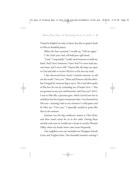I found it helpful not only to listen, but also to speak it back to Him in thankful prayer.

When the fears returned, I would say, "Tell me again." *I, the LORD your God, will hold your right hand….*

"Lord," I responded, "I really need someone to hold my hand. And I have Someone: I have You! I've never had anyone better and I never will." Prayers like this kept me open to God and able to receive His love as He met my need.

I also discovered how much I wanted someone to tell me the words "I love you." Brian and Doreen said this often, but I longed for someone big to say it. The Lord often spoke of His love for me by reminding me of Isaiah 43:4—"You are precious in my eyes, and honored, and I love you" (RSV). I was to Him like a precious gem, which is loved not for its usefulness but for its great emotional value. I was honored in His eyes—amazing! And at any moment I could pause and let Him say, "I love you." I especially needed to pause like that in the summer.

Summer was the big conference season at Glen Eyrie, and there wasn't room for us in the castle. During those months each year we would rent a house in nearby Pleasant Valley, where my lonely times came more frequently.

Our neighbors one year included our Navigator friends Leroy and Virginia Eims. One beautiful summer evening I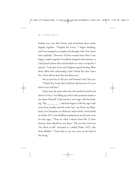looked over, saw their home, and envisioned them inside happily together. "Virginia has Leroy," I began thinking, and I was tempted to complete the thought with "but I don't have anybody." However, I'd been warned that when I saw happy couples together I would be tempted with jealousy, so I had prayed about this and decided on a way to respond. I prayed, "Lord, give Leroy and Virginia a good evening. Bless them. Bless their relationship. And I thank You that I have You. Now tell me how You feel about me."

*You are precious in My eyes, and honored, and I love you.*  "Thank You, Lord, that I still have the best love I've ever had or ever will have."

These were the years when the red notebook you'll read about in Day 2 was filling up with God's personal words to me about Himself. I had started a new page with the heading "My \_\_\_\_\_\_\_\_\_," and had begun to fill the page with verses that actually used the word "my": my Rock, my Shepherd, my Champion, my Beloved, and so forth. I had settled on Psalm 16:5 in the Moffatt translation as my favorite verse for this page: "Thou art what I obtain from life, O thou Eternal, thou thyself art my share." My joy that God was "my Share in life" increased as I added Psalm 142:5, also from Moffatt: "I have thee as my very own, in the land of the living."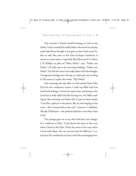One summer I found myself focusing on God as my *Father.* I had a wonderful earthly father who loved me deeply, and I had always thought it was great to have God as my Father as well. But now, in this time of deeper loneliness, it meant so much more. I especially liked Romans 8:15 where J. B. Phillips, in place of "Abba, Father," says, "Father, my Father." I'd wake up in the morning thinking, "Father, my Father!" For the first time I was really taken with this thought. I imagined crawling onto His lap as a little girl and nestling in His arms as I spoke the words, "My Father!"

One morning, the day after we had moved from Glen Eyrie for the conference season, I woke up filled with low and lonely feelings. I started my quiet time, admitting to the Lord that I really didn't feel like having one. My Bible reading for that morning was Psalm 102. I came to these words: "I am like a pelican in the desert, like an owl moping in the ruins…like a lonely bird on the roof" (verses 6–7, Moffatt). Already I felt better—the psalmist had been even bluer than I was!

The passage goes on to say that God does not change. So I could say to Him, "Lord, You're the same as You were when I lived on the Glen. You're the same as You were when I lived with Dean. You are not the least bit different." I rejoiced as He comforted my heart with His unchanging love.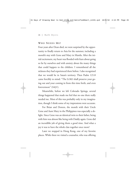### **WH O NEEDS ME ?**

Four years after Dean died, we were surprised by the opportunity to finally return to Asia for the summer, including a month's stay with Gene and Mary in Manila. After the initial excitement, my heart was flooded with fears about going so far by ourselves and with anxiety about the many things that could happen to the children. I remembered all the sickness they had experienced there before. I also recognized that we would be in Satan's territory. Then Psalm 121:8 came forcibly to mind: "The LORD shall preserve your going out and your coming in from this time forth, and even forevermore" (NKJV).

Meanwhile, before we left Colorado Springs, several things happened that made me feel that no one there really needed me. Most of this was probably only in my imagination, though I think some of my impressions were accurate.

For Brian and Doreen, the month with their Uncle Gene and Aunt Mary in the Philippines was especially a delight. Since Gene was an identical twin to their father, being with him was almost like being with Daddy again. Gene did an incredible job of giving them a good time. And what a joy it was to have the whole clan together once more!

Later we stopped in Hong Kong, one of my favorite places. While there we visited a counselor, who was offering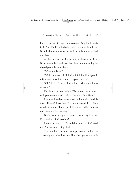his services free of charge to missionaries (and I still qualified). After Dr. Rodd had talked with each of us, he told me Brian had some thoughts and feelings I might want to find out about.

As the children and I went out to dinner that night, Brian hesitantly mentioned that there was something he should probably let me know.

"What is it, Brian?"

"Well," he answered, "I don't think I should tell you. It might make it hard for you to be a good mother."

"Oh," I said, "honey, please tell me. Mommy will understand."

Finally he came out with it: "You know…sometimes I wish you would die so I could go live with Uncle Gene."

I handled it without tears as long as I was with the children. "Honey," I told him, "I can understand that. He's a wonderful uncle. He's so much like your daddy. I understand why you feel that way."

But in bed that night I let myself have a long, hard cry: Even my kids didn't need me!

I knew this was a lie. Brian didn't mean he didn't need me. But that's the feeling I had.

The Lord lifted me from that experience to thrill me in a new way with what I mean to Him. I recognized the truth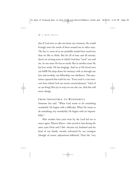that if God were to take me home any moment, He would lovingly meet the needs of those around me in other ways. The fact is, most of us are probably needed here much less than we like to think. But for all of time and all eternity, there's an exciting sense in which God does "need" you and me. In one sense He has no needs. But in another sense He has love needs. He has longings. And we as His loved ones can fulfill His deep desire for intimacy with us through our love and worship, our fellowship, our obedience. This quotation captured that truth for me: "Every soul is a vast reservoir from which God can receive eternal pleasure." Each of us can bring Him joy in ways no one else can. And that will never change.

#### **F ROM I MPOSSIBLE TO WONDERFUL**

Someone has said, "When God wants to do something wonderful, He begins with a difficulty. When He wants to do something very wonderful, He begins with an impossibility."

After another four years went by, the Lord led me to marry again. Warren Myers—who served in Asia during the same years Dean and I did—became my husband and the head of our family, warmly welcomed by our teenagers (though, of course, adjustments followed). That's the "very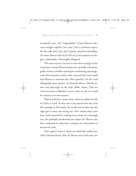wonderful" part. The "impossibility" is how Warren and I were brought together. For years I had a profound respect for his walk with God, and I greatly valued his friendship. Yet when Warren told me he felt the Lord wanted us to begin a relationship, I thoroughly disagreed.

The years went by. I'm sure it took clever strategy on the Lord's part to keep Warren unmarried, especially with lovely, godly women available and despite unrelenting encouragement from friends to find a wife. I prayed that God would lead Warren to someone else. How grateful I am the Lord disregarded those prayers. As Hannah More, a British author and playwright in the early 1800s, wrote, "Did not God sometimes withhold in mercy what we ask, we would be ruined at our own request."

Warren had been twenty-three when he yielded his life to Christ as Lord. At that time God assured him that if he left marriage in His hands, He would not let him miss the right girl or marry the wrong one. Now, twenty-three years later, God answered by working in my heart in a thorough way. He gradually transformed my respect for Warren into love, eradicated my objections, and gave me a deep desire to become his wife.

Once again I knew I dared not hold this earthly love with a clenched hand. After all, Warren was God's man, not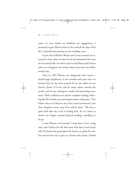mine. So even before we finalized our engagement, I promised to give Warren back to the Lord all the days of his life. I included that promise in my wedding vows.

A year and a half after Warren and I were married, we returned to Asia, where we have lived and ministered for most of our married life. For three years we had Brian and Doreen with us in Singapore, for twenty-three years they were half a world away.

Then in 1995 Warren was diagnosed with cancer fourth-stage lymphoma. In the months and years since we learned this, he has been prayed for by the elders of our church (James 5:14-16) and by many others around the world, and he has undergone careful and promising treatment. With confidence we ask for complete healing, believing this fits in with our much deeper desire and prayer, "Our Father who art in heaven, may Your name be honored, may Your kingdom come, may Your will be done." We have a quiet faith that the Lord is healing him. Yet we refuse to clench our fingers around physical healing, unwilling to let go.

I want Warren to be healed. I want him to live a long time, and I believe he will. But more than that I want God's will. He knows the good plans He has for us, plans for welfare and not for evil, to give us a future and a hope. I thank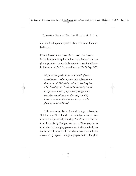the Lord for this promise, and I believe it because He's never lied to me.

**DEEP ROOTS IN THE S OIL OF H I S L OVE** In the decades of living I've outlined here, I've seen God beginning to answer for me Paul's beautiful prayer for believers in Ephesians 3:17-19 (expressed here in *The Living Bible*):

*May your roots go down deep into the soil of God's marvelous love; and may you be able to feel and understand, as all God's children should, how long, how wide, how deep, and how high his love really is; and to experience this love for yourselves, though it is so great that you will never see the end of it or fully know or understand it. And so at last you will be filled up with God himself.*

This may sound like an impossibly high goal—to be "filled up with God Himself" and to fully experience a love that's so far beyond fully knowing. But it's not too hard for God. Immediately Paul goes on to say, "Now glory be to God, who by His mighty power at work within us is able to do far more than we would ever dare to ask or even dream of—infinitely beyond our highest prayers, desires, thoughts,